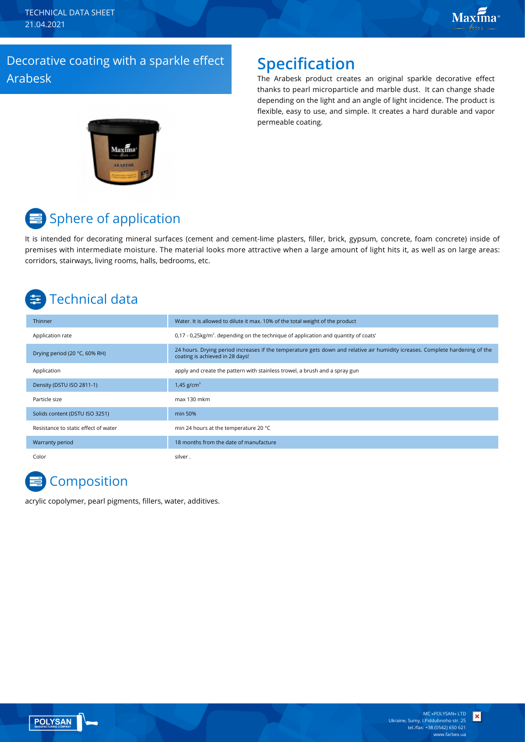TECHNICAL DATA SHEET 21.04.2021

## Decorative coating with a sparkle effect Arabesk

## **Specification**

The Arabesk product creates an original sparkle decorative effect thanks to pearl microparticle and marble dust. It can change shade depending on the light and an angle of light incidence. The product is flexible, easy to use, and simple. It creates a hard durable and vapor permeable coating.



# Sphere of application

It is intended for decorating mineral surfaces (cement and cement-lime plasters, filler, brick, gypsum, concrete, foam concrete) inside of premises with intermediate moisture. The material looks more attractive when a large amount of light hits it, as well as on large areas: corridors, stairways, living rooms, halls, bedrooms, etc.

# Technical data

| Thinner                              | Water. It is allowed to dilute it max. 10% of the total weight of the product                                                                                   |
|--------------------------------------|-----------------------------------------------------------------------------------------------------------------------------------------------------------------|
| Application rate                     | $0.17 - 0.25$ kg/m <sup>2</sup> . depending on the technique of application and quantity of coats'                                                              |
| Drying period (20 °C, 60% RH)        | 24 hours. Drying period increases if the temperature gets down and relative air humidity icreases. Complete hardening of the<br>coating is achieved in 28 days! |
| Application                          | apply and create the pattern with stainless trowel, a brush and a spray gun                                                                                     |
| Density (DSTU ISO 2811-1)            | 1,45 $g/cm^{3}$                                                                                                                                                 |
| Particle size                        | max 130 mkm                                                                                                                                                     |
| Solids content (DSTU ISO 3251)       | min 50%                                                                                                                                                         |
| Resistance to static effect of water | min 24 hours at the temperature 20 °C                                                                                                                           |
| Warranty period                      | 18 months from the date of manufacture                                                                                                                          |
| Color                                | silver .                                                                                                                                                        |

## **Composition**

acrylic copolymer, pearl pigments, fillers, water, additives.



×